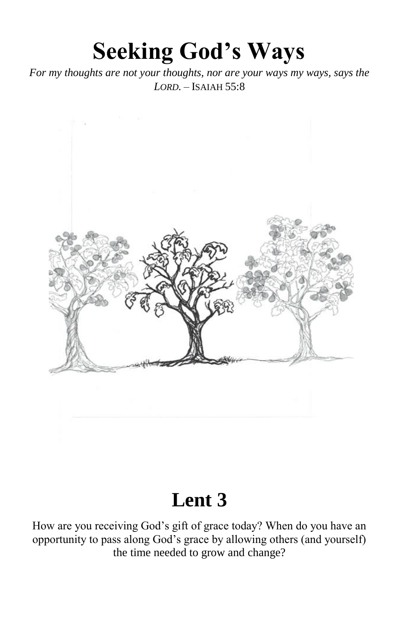# **Seeking God's Ways**

*For my thoughts are not your thoughts, nor are your ways my ways, says the LORD.* – ISAIAH 55:8



# **Lent 3**

How are you receiving God's gift of grace today? When do you have an opportunity to pass along God's grace by allowing others (and yourself) the time needed to grow and change?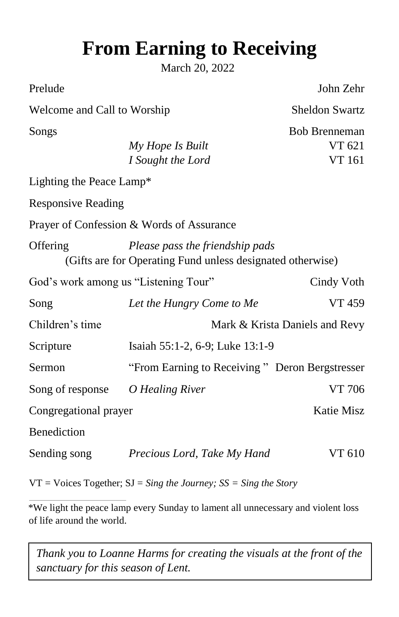# **From Earning to Receiving**

March 20, 2022

Prelude John Zehr

Welcome and Call to Worship Sheldon Swartz

Songs Bob Brenneman

*My Hope Is Built* VT 621 *I* Sought the Lord VT 161

Lighting the Peace Lamp\*

Responsive Reading

Prayer of Confession & Words of Assurance

Offering *Please pass the friendship pads* (Gifts are for Operating Fund unless designated otherwise)

| God's work among us "Listening Tour" | Cindy Voth                                     |            |  |  |
|--------------------------------------|------------------------------------------------|------------|--|--|
| Song                                 | Let the Hungry Come to Me                      | VT 459     |  |  |
| Children's time                      | Mark & Krista Daniels and Revy                 |            |  |  |
| Scripture                            | Isaiah 55:1-2, 6-9; Luke 13:1-9                |            |  |  |
| Sermon                               | "From Earning to Receiving" Deron Bergstresser |            |  |  |
| Song of response                     | O Healing River                                | VT 706     |  |  |
| Congregational prayer                |                                                | Katie Misz |  |  |
| <b>Benediction</b>                   |                                                |            |  |  |
| Sending song                         | Precious Lord, Take My Hand                    | VT 610     |  |  |

VT = Voices Together; SJ = *Sing the Journey; SS = Sing the Story* 

\*We light the peace lamp every Sunday to lament all unnecessary and violent loss of life around the world.

*Thank you to Loanne Harms for creating the visuals at the front of the sanctuary for this season of Lent.*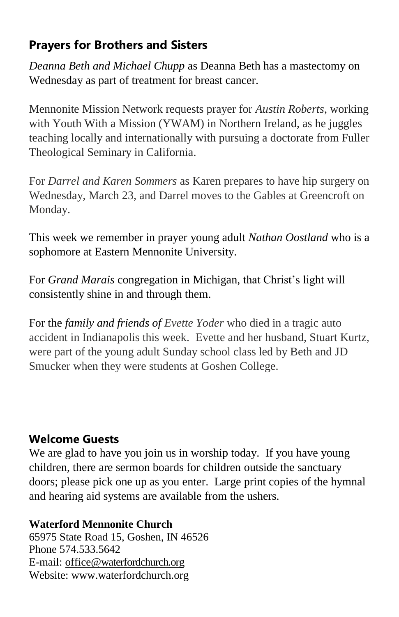# **Prayers for Brothers and Sisters**

*Deanna Beth and Michael Chupp* as Deanna Beth has a mastectomy on Wednesday as part of treatment for breast cancer.

Mennonite Mission Network requests prayer for *Austin Roberts*, working with Youth With a Mission (YWAM) in Northern Ireland, as he juggles teaching locally and internationally with pursuing a doctorate from Fuller Theological Seminary in California.

For *Darrel and Karen Sommers* as Karen prepares to have hip surgery on Wednesday, March 23, and Darrel moves to the Gables at Greencroft on Monday.

This week we remember in prayer young adult *Nathan Oostland* who is a sophomore at Eastern Mennonite University.

For *Grand Marais* congregation in Michigan, that Christ's light will consistently shine in and through them.

For the *family and friends of Evette Yoder* who died in a tragic auto accident in Indianapolis this week. Evette and her husband, Stuart Kurtz, were part of the young adult Sunday school class led by Beth and JD Smucker when they were students at Goshen College.

### **Welcome Guests**

We are glad to have you join us in worship today. If you have young children, there are sermon boards for children outside the sanctuary doors; please pick one up as you enter. Large print copies of the hymnal and hearing aid systems are available from the ushers.

#### **Waterford Mennonite Church**

65975 State Road 15, Goshen, IN 46526 Phone 574.533.5642 E-mail: [office@waterfordchurch.org](mailto:office@waterfordchurch.org) Website: [www.waterfordchurch.org](http://www.waterfordchurch.org/)